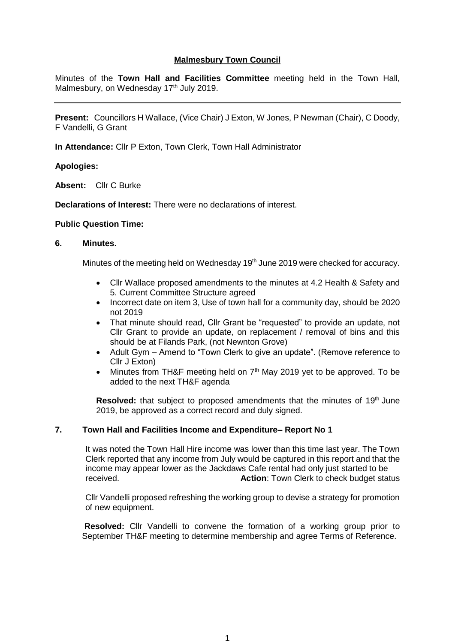# **Malmesbury Town Council**

Minutes of the **Town Hall and Facilities Committee** meeting held in the Town Hall, Malmesbury, on Wednesday 17<sup>th</sup> July 2019.

**Present:** Councillors H Wallace, (Vice Chair) J Exton, W Jones, P Newman (Chair), C Doody, F Vandelli, G Grant

**In Attendance:** Cllr P Exton, Town Clerk, Town Hall Administrator

## **Apologies:**

**Absent:** Cllr C Burke

**Declarations of Interest:** There were no declarations of interest.

#### **Public Question Time:**

### **6. Minutes.**

Minutes of the meeting held on Wednesday 19<sup>th</sup> June 2019 were checked for accuracy.

- Cllr Wallace proposed amendments to the minutes at 4.2 Health & Safety and 5. Current Committee Structure agreed
- Incorrect date on item 3, Use of town hall for a community day, should be 2020 not 2019
- That minute should read, Cllr Grant be "requested" to provide an update, not Cllr Grant to provide an update, on replacement / removal of bins and this should be at Filands Park, (not Newnton Grove)
- Adult Gym Amend to "Town Clerk to give an update". (Remove reference to Cllr J Exton)
- Minutes from TH&F meeting held on  $7<sup>th</sup>$  May 2019 yet to be approved. To be added to the next TH&F agenda

**Resolved:** that subject to proposed amendments that the minutes of 19<sup>th</sup> June 2019, be approved as a correct record and duly signed.

# **7. Town Hall and Facilities Income and Expenditure– Report No 1**

 It was noted the Town Hall Hire income was lower than this time last year. The Town Clerk reported that any income from July would be captured in this report and that the income may appear lower as the Jackdaws Cafe rental had only just started to be received. **Action**: Town Clerk to check budget status

Cllr Vandelli proposed refreshing the working group to devise a strategy for promotion of new equipment.

**Resolved:** Cllr Vandelli to convene the formation of a working group prior to September TH&F meeting to determine membership and agree Terms of Reference.